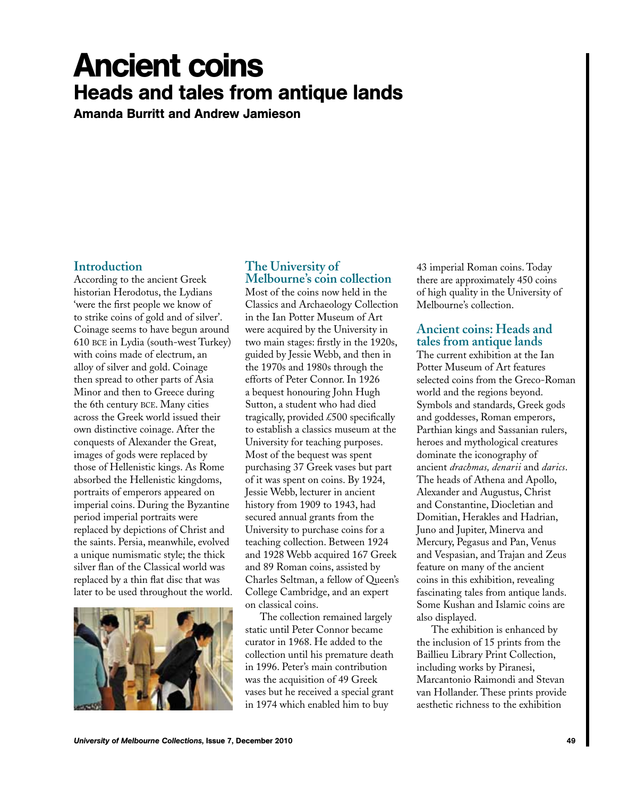# Ancient coins Heads and tales from antique lands

Amanda Burritt and Andrew Jamieson

#### **Introduction**

According to the ancient Greek historian Herodotus, the Lydians 'were the first people we know of to strike coins of gold and of silver'. Coinage seems to have begun around 610 bce in Lydia (south-west Turkey) with coins made of electrum, an alloy of silver and gold. Coinage then spread to other parts of Asia Minor and then to Greece during the 6th century bce. Many cities across the Greek world issued their own distinctive coinage. After the conquests of Alexander the Great, images of gods were replaced by those of Hellenistic kings. As Rome absorbed the Hellenistic kingdoms, portraits of emperors appeared on imperial coins. During the Byzantine period imperial portraits were replaced by depictions of Christ and the saints. Persia, meanwhile, evolved a unique numismatic style; the thick silver flan of the Classical world was replaced by a thin flat disc that was later to be used throughout the world.



## **The University of Melbourne's coin collection**

Most of the coins now held in the Classics and Archaeology Collection in the Ian Potter Museum of Art were acquired by the University in two main stages: firstly in the 1920s, guided by Jessie Webb, and then in the 1970s and 1980s through the efforts of Peter Connor. In 1926 a bequest honouring John Hugh Sutton, a student who had died tragically, provided £500 specifically to establish a classics museum at the University for teaching purposes. Most of the bequest was spent purchasing 37 Greek vases but part of it was spent on coins. By 1924, Jessie Webb, lecturer in ancient history from 1909 to 1943, had secured annual grants from the University to purchase coins for a teaching collection. Between 1924 and 1928 Webb acquired 167 Greek and 89 Roman coins, assisted by Charles Seltman, a fellow of Queen's College Cambridge, and an expert on classical coins.

The collection remained largely static until Peter Connor became curator in 1968. He added to the collection until his premature death in 1996. Peter's main contribution was the acquisition of 49 Greek vases but he received a special grant in 1974 which enabled him to buy

43 imperial Roman coins. Today there are approximately 450 coins of high quality in the University of Melbourne's collection.

## **Ancient coins: Heads and tales from antique lands**

The current exhibition at the Ian Potter Museum of Art features selected coins from the Greco-Roman world and the regions beyond. Symbols and standards, Greek gods and goddesses, Roman emperors, Parthian kings and Sassanian rulers, heroes and mythological creatures dominate the iconography of ancient *drachmas, denarii* and *darics*. The heads of Athena and Apollo, Alexander and Augustus, Christ and Constantine, Diocletian and Domitian, Herakles and Hadrian, Juno and Jupiter, Minerva and Mercury, Pegasus and Pan, Venus and Vespasian, and Trajan and Zeus feature on many of the ancient coins in this exhibition, revealing fascinating tales from antique lands. Some Kushan and Islamic coins are also displayed.

The exhibition is enhanced by the inclusion of 15 prints from the Baillieu Library Print Collection, including works by Piranesi, Marcantonio Raimondi and Stevan van Hollander. These prints provide aesthetic richness to the exhibition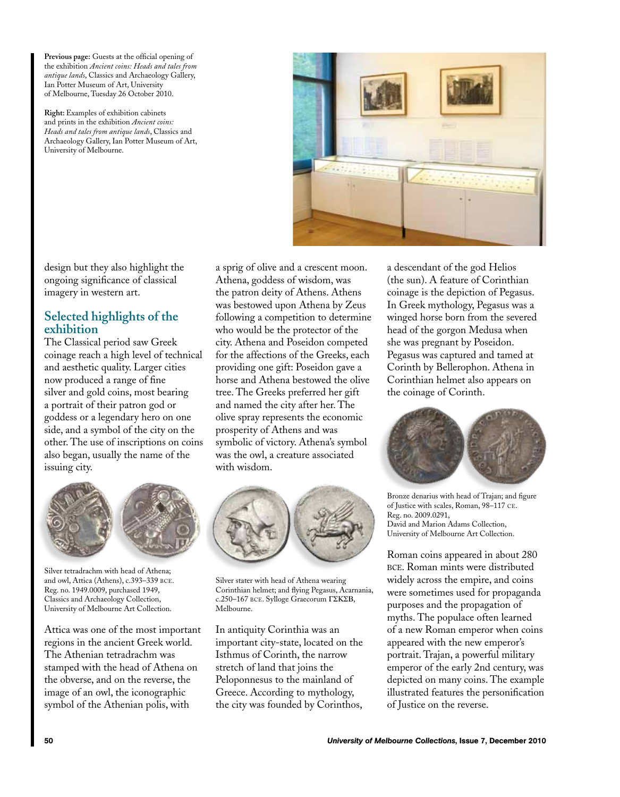**Previous page:** Guests at the official opening of the exhibition *Ancient coins: Heads and tales from antique lands*, Classics and Archaeology Gallery, Ian Potter Museum of Art, University of Melbourne, Tuesday 26 October 2010.

**Right:** Examples of exhibition cabinets and prints in the exhibition *Ancient coins: Heads and tales from antique lands*, Classics and Archaeology Gallery, Ian Potter Museum of Art, University of Melbourne.



design but they also highlight the ongoing significance of classical imagery in western art.

## **Selected highlights of the exhibition**

The Classical period saw Greek coinage reach a high level of technical and aesthetic quality. Larger cities now produced a range of fine silver and gold coins, most bearing a portrait of their patron god or goddess or a legendary hero on one side, and a symbol of the city on the other. The use of inscriptions on coins also began, usually the name of the issuing city.



Silver tetradrachm with head of Athena; and owl, Attica (Athens), c.393–339 bce. Reg. no. 1949.0009, purchased 1949, Classics and Archaeology Collection, University of Melbourne Art Collection.

Attica was one of the most important regions in the ancient Greek world. The Athenian tetradrachm was stamped with the head of Athena on the obverse, and on the reverse, the image of an owl, the iconographic symbol of the Athenian polis, with

a sprig of olive and a crescent moon. Athena, goddess of wisdom, was the patron deity of Athens. Athens was bestowed upon Athena by Zeus following a competition to determine who would be the protector of the city. Athena and Poseidon competed for the affections of the Greeks, each providing one gift: Poseidon gave a horse and Athena bestowed the olive tree. The Greeks preferred her gift and named the city after her. The olive spray represents the economic prosperity of Athens and was symbolic of victory. Athena's symbol was the owl, a creature associated with wisdom.



Silver stater with head of Athena wearing Corinthian helmet; and flying Pegasus, Acarnania, c.250–167 bce. Sylloge Graecorum ΓΣΚΣΒ, Melbourne.

In antiquity Corinthia was an important city-state, located on the Isthmus of Corinth, the narrow stretch of land that joins the Peloponnesus to the mainland of Greece. According to mythology, the city was founded by Corinthos,

a descendant of the god Helios (the sun). A feature of Corinthian coinage is the depiction of Pegasus. In Greek mythology, Pegasus was a winged horse born from the severed head of the gorgon Medusa when she was pregnant by Poseidon. Pegasus was captured and tamed at Corinth by Bellerophon. Athena in Corinthian helmet also appears on the coinage of Corinth.



Bronze denarius with head of Trajan; and figure of Justice with scales, Roman, 98–117 ce. Reg. no. 2009.0291, David and Marion Adams Collection, University of Melbourne Art Collection.

Roman coins appeared in about 280 bce. Roman mints were distributed widely across the empire, and coins were sometimes used for propaganda purposes and the propagation of myths. The populace often learned of a new Roman emperor when coins appeared with the new emperor's portrait. Trajan, a powerful military emperor of the early 2nd century, was depicted on many coins. The example illustrated features the personification of Justice on the reverse.